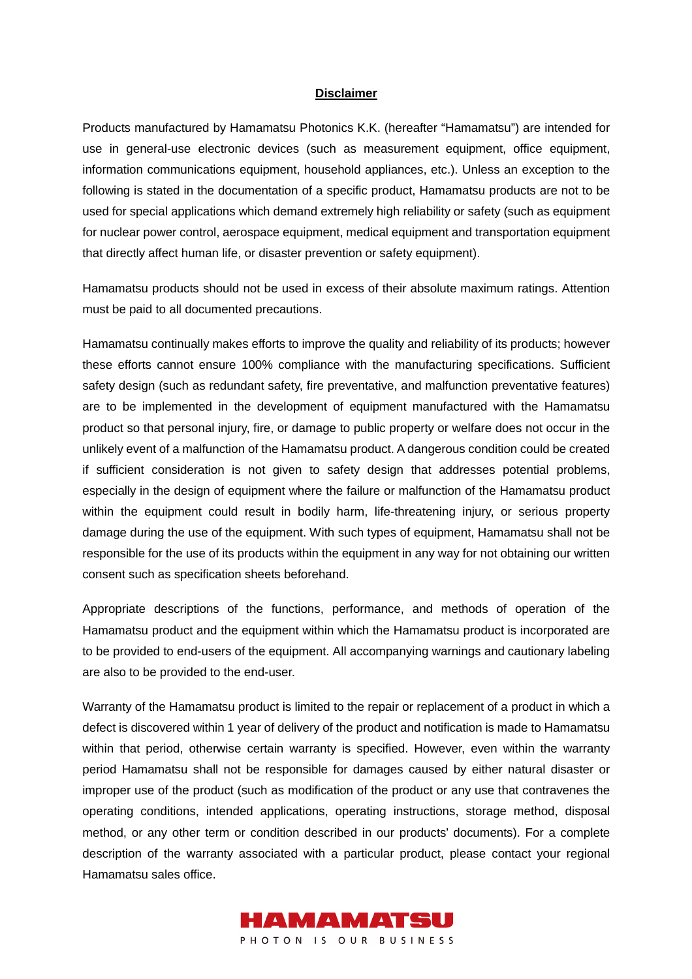## **Disclaimer**

Products manufactured by Hamamatsu Photonics K.K. (hereafter "Hamamatsu") are intended for use in general-use electronic devices (such as measurement equipment, office equipment, information communications equipment, household appliances, etc.). Unless an exception to the following is stated in the documentation of a specific product, Hamamatsu products are not to be used for special applications which demand extremely high reliability or safety (such as equipment for nuclear power control, aerospace equipment, medical equipment and transportation equipment that directly affect human life, or disaster prevention or safety equipment).

Hamamatsu products should not be used in excess of their absolute maximum ratings. Attention must be paid to all documented precautions.

Hamamatsu continually makes efforts to improve the quality and reliability of its products; however these efforts cannot ensure 100% compliance with the manufacturing specifications. Sufficient safety design (such as redundant safety, fire preventative, and malfunction preventative features) are to be implemented in the development of equipment manufactured with the Hamamatsu product so that personal injury, fire, or damage to public property or welfare does not occur in the unlikely event of a malfunction of the Hamamatsu product. A dangerous condition could be created if sufficient consideration is not given to safety design that addresses potential problems, especially in the design of equipment where the failure or malfunction of the Hamamatsu product within the equipment could result in bodily harm, life-threatening injury, or serious property damage during the use of the equipment. With such types of equipment, Hamamatsu shall not be responsible for the use of its products within the equipment in any way for not obtaining our written consent such as specification sheets beforehand.

Appropriate descriptions of the functions, performance, and methods of operation of the Hamamatsu product and the equipment within which the Hamamatsu product is incorporated are to be provided to end-users of the equipment. All accompanying warnings and cautionary labeling are also to be provided to the end-user.

Warranty of the Hamamatsu product is limited to the repair or replacement of a product in which a defect is discovered within 1 year of delivery of the product and notification is made to Hamamatsu within that period, otherwise certain warranty is specified. However, even within the warranty period Hamamatsu shall not be responsible for damages caused by either natural disaster or improper use of the product (such as modification of the product or any use that contravenes the operating conditions, intended applications, operating instructions, storage method, disposal method, or any other term or condition described in our products' documents). For a complete description of the warranty associated with a particular product, please contact your regional Hamamatsu sales office.